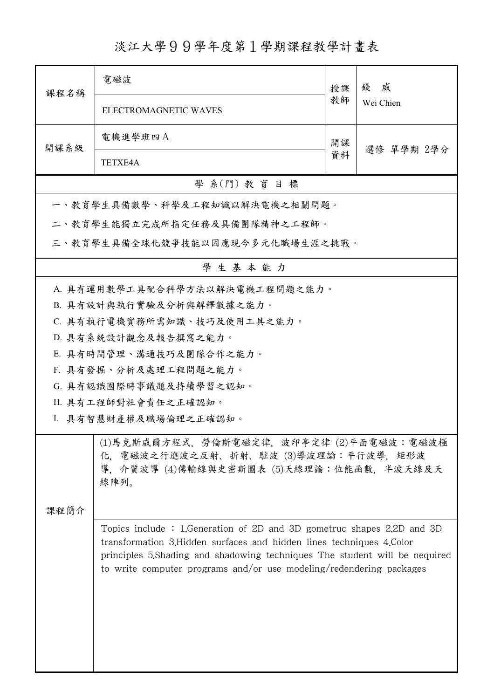## 淡江大學99學年度第1學期課程教學計畫表

| 課程名稱                                                                                                                                  | 電磁波                                                                                                                                                                                                                                                                                                    | 授課               | 錢威<br>Wei Chien |  |  |  |  |
|---------------------------------------------------------------------------------------------------------------------------------------|--------------------------------------------------------------------------------------------------------------------------------------------------------------------------------------------------------------------------------------------------------------------------------------------------------|------------------|-----------------|--|--|--|--|
|                                                                                                                                       | ELECTROMAGNETIC WAVES                                                                                                                                                                                                                                                                                  | 教師               |                 |  |  |  |  |
| 開課系級                                                                                                                                  | 電機進學班四A                                                                                                                                                                                                                                                                                                | 開課<br>選修 單學期 2學分 |                 |  |  |  |  |
|                                                                                                                                       | <b>TETXE4A</b>                                                                                                                                                                                                                                                                                         |                  |                 |  |  |  |  |
| 學 系(門) 教育目標                                                                                                                           |                                                                                                                                                                                                                                                                                                        |                  |                 |  |  |  |  |
|                                                                                                                                       | 一、教育學生具備數學、科學及工程知識以解決電機之相關問題。                                                                                                                                                                                                                                                                          |                  |                 |  |  |  |  |
|                                                                                                                                       | 二、教育學生能獨立完成所指定任務及具備團隊精神之工程師。                                                                                                                                                                                                                                                                           |                  |                 |  |  |  |  |
| 三、教育學生具備全球化競爭技能以因應現今多元化職場生涯之挑戰。                                                                                                       |                                                                                                                                                                                                                                                                                                        |                  |                 |  |  |  |  |
| 學生基本能力                                                                                                                                |                                                                                                                                                                                                                                                                                                        |                  |                 |  |  |  |  |
|                                                                                                                                       | A. 具有運用數學工具配合科學方法以解決電機工程問題之能力。                                                                                                                                                                                                                                                                         |                  |                 |  |  |  |  |
|                                                                                                                                       | B. 具有設計與執行實驗及分析與解釋數據之能力。                                                                                                                                                                                                                                                                               |                  |                 |  |  |  |  |
|                                                                                                                                       | C. 具有執行電機實務所需知識、技巧及使用工具之能力。                                                                                                                                                                                                                                                                            |                  |                 |  |  |  |  |
|                                                                                                                                       | D. 具有系統設計觀念及報告撰寫之能力。                                                                                                                                                                                                                                                                                   |                  |                 |  |  |  |  |
|                                                                                                                                       | E. 具有時間管理、溝通技巧及團隊合作之能力。                                                                                                                                                                                                                                                                                |                  |                 |  |  |  |  |
|                                                                                                                                       | F. 具有發掘、分析及處理工程問題之能力。                                                                                                                                                                                                                                                                                  |                  |                 |  |  |  |  |
|                                                                                                                                       | G. 具有認識國際時事議題及持續學習之認知。                                                                                                                                                                                                                                                                                 |                  |                 |  |  |  |  |
|                                                                                                                                       | H. 具有工程師對社會責任之正確認知。                                                                                                                                                                                                                                                                                    |                  |                 |  |  |  |  |
|                                                                                                                                       | I. 具有智慧財產權及職場倫理之正確認知。                                                                                                                                                                                                                                                                                  |                  |                 |  |  |  |  |
| (1)馬克斯威爾方程式,勞倫斯電磁定律,波印亭定律 (2)平面電磁波:電磁波極<br>化, 電磁波之行進波之反射、折射、駐波 (3)導波理論:平行波導, 矩形波<br>導, 介質波導 (4)傳輸線與史密斯圖表 (5)天線理論:位能函數, 半波天線及天<br>線陣列。 |                                                                                                                                                                                                                                                                                                        |                  |                 |  |  |  |  |
| 課程簡介                                                                                                                                  |                                                                                                                                                                                                                                                                                                        |                  |                 |  |  |  |  |
|                                                                                                                                       | Topics include: 1. Generation of 2D and 3D gometruc shapes 2.2D and 3D<br>transformation 3. Hidden surfaces and hidden lines techniques 4. Color<br>principles 5. Shading and shadowing techniques The student will be nequired<br>to write computer programs and/or use modeling/redendering packages |                  |                 |  |  |  |  |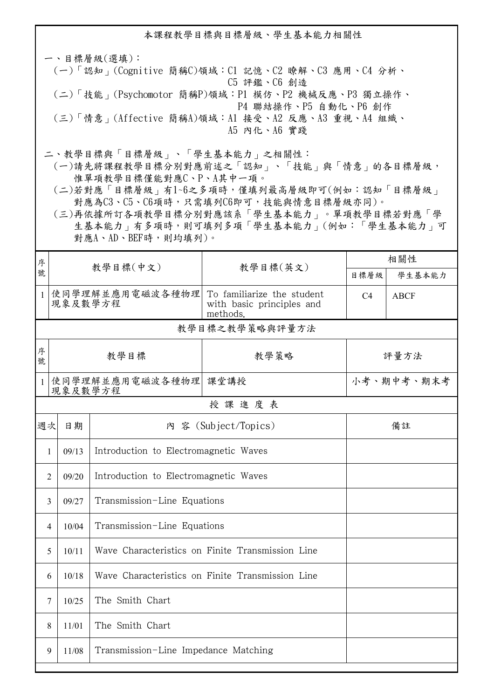本課程教學目標與目標層級、學生基本能力相關性

一、目標層級(選填): (一)「認知」(Cognitive 簡稱C)領域:C1 記憶、C2 瞭解、C3 應用、C4 分析、 C5 評鑑、C6 創造 (二)「技能」(Psychomotor 簡稱P)領域:P1 模仿、P2 機械反應、P3 獨立操作、 P4 聯結操作、P5 自動化、P6 創作 (三)「情意」(Affective 簡稱A)領域:A1 接受、A2 反應、A3 重視、A4 組織、 A5 內化、A6 實踐

二、教學目標與「目標層級」、「學生基本能力」之相關性:

 (一)請先將課程教學目標分別對應前述之「認知」、「技能」與「情意」的各目標層級, 惟單項教學目標僅能對應C、P、A其中一項。

 (二)若對應「目標層級」有1~6之多項時,僅填列最高層級即可(例如:認知「目標層級」 對應為C3、C5、C6項時,只需填列C6即可,技能與情意目標層級亦同)。

 (三)再依據所訂各項教學目標分別對應該系「學生基本能力」。單項教學目標若對應「學 生基本能力」有多項時,則可填列多項「學生基本能力」(例如:「學生基本能力」可 對應A、AD、BEF時,則均填列)。

| 序              | 教學目標(中文)                                                  |                                       |                                                                     | 相關性            |             |  |  |  |
|----------------|-----------------------------------------------------------|---------------------------------------|---------------------------------------------------------------------|----------------|-------------|--|--|--|
| 號              |                                                           |                                       | 教學目標(英文)                                                            | 目標層級           | 學生基本能力      |  |  |  |
| $\mathbf{1}$   | 使同學理解並應用電磁波各種物理<br>現象及數學方程                                |                                       | To familiarize the student<br>with basic principles and<br>methods. | C <sub>4</sub> | <b>ABCF</b> |  |  |  |
|                | 教學目標之教學策略與評量方法                                            |                                       |                                                                     |                |             |  |  |  |
| 序<br>號         | 教學目標                                                      |                                       | 教學策略                                                                | 評量方法           |             |  |  |  |
| 1              | 使同學理解並應用電磁波各種物理<br>現象及數學方程                                |                                       | 課堂講授                                                                | 小考、期中考、期末考     |             |  |  |  |
|                | 授課進度表                                                     |                                       |                                                                     |                |             |  |  |  |
| 週次             | 日期                                                        |                                       | 内 容 (Subject/Topics)                                                | 備註             |             |  |  |  |
| $\mathbf{1}$   | 09/13                                                     | Introduction to Electromagnetic Waves |                                                                     |                |             |  |  |  |
| $\overline{2}$ | Introduction to Electromagnetic Waves<br>09/20            |                                       |                                                                     |                |             |  |  |  |
| 3              | 09/27                                                     | Transmission-Line Equations           |                                                                     |                |             |  |  |  |
| 4              | 10/04                                                     | Transmission-Line Equations           |                                                                     |                |             |  |  |  |
| 5              | Wave Characteristics on Finite Transmission Line<br>10/11 |                                       |                                                                     |                |             |  |  |  |
| 6              | Wave Characteristics on Finite Transmission Line<br>10/18 |                                       |                                                                     |                |             |  |  |  |
| 7              | The Smith Chart<br>10/25                                  |                                       |                                                                     |                |             |  |  |  |
|                | The Smith Chart<br>8<br>11/01                             |                                       |                                                                     |                |             |  |  |  |
| 9              | Transmission-Line Impedance Matching<br>11/08             |                                       |                                                                     |                |             |  |  |  |
|                |                                                           |                                       |                                                                     |                |             |  |  |  |